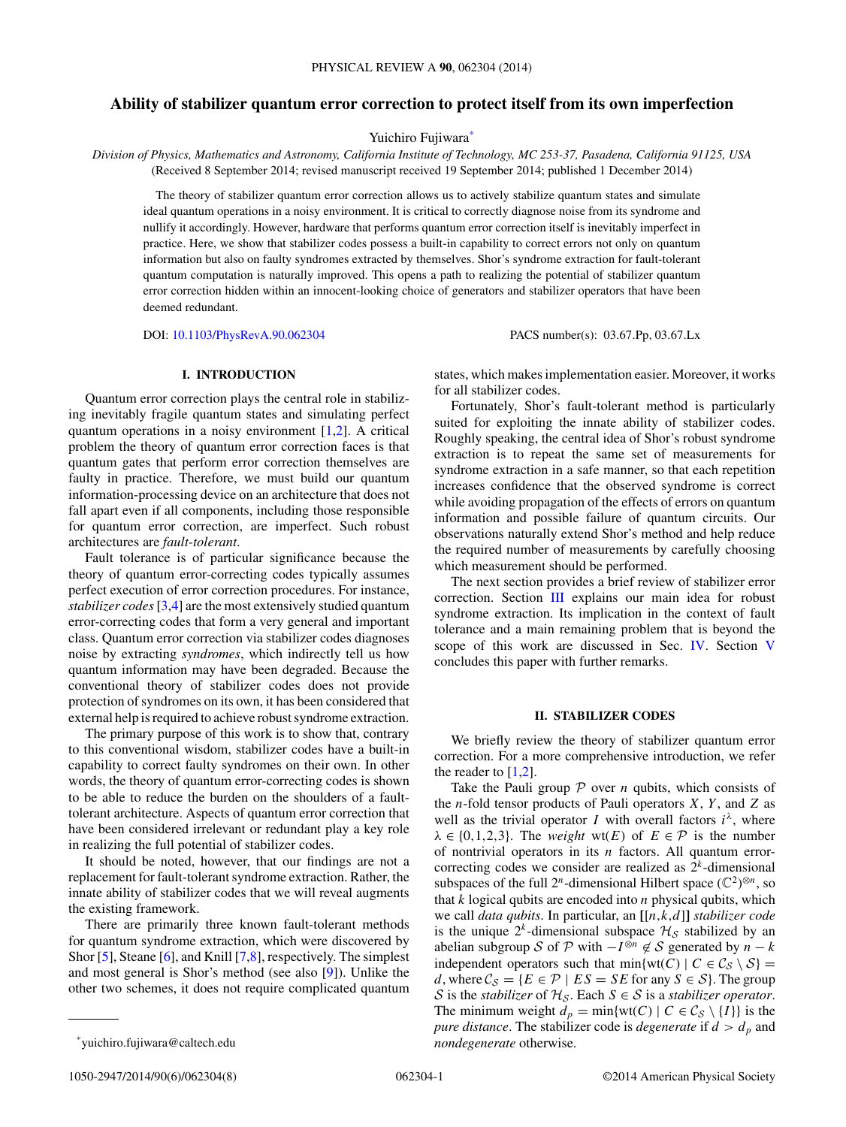# <span id="page-0-0"></span>**Ability of stabilizer quantum error correction to protect itself from its own imperfection**

Yuichiro Fujiwara<sup>\*</sup>

*Division of Physics, Mathematics and Astronomy, California Institute of Technology, MC 253-37, Pasadena, California 91125, USA* (Received 8 September 2014; revised manuscript received 19 September 2014; published 1 December 2014)

The theory of stabilizer quantum error correction allows us to actively stabilize quantum states and simulate ideal quantum operations in a noisy environment. It is critical to correctly diagnose noise from its syndrome and nullify it accordingly. However, hardware that performs quantum error correction itself is inevitably imperfect in practice. Here, we show that stabilizer codes possess a built-in capability to correct errors not only on quantum information but also on faulty syndromes extracted by themselves. Shor's syndrome extraction for fault-tolerant quantum computation is naturally improved. This opens a path to realizing the potential of stabilizer quantum error correction hidden within an innocent-looking choice of generators and stabilizer operators that have been deemed redundant.

DOI: [10.1103/PhysRevA.90.062304](http://dx.doi.org/10.1103/PhysRevA.90.062304) PACS number(s): 03*.*67*.*Pp*,* 03*.*67*.*Lx

# **I. INTRODUCTION**

Quantum error correction plays the central role in stabilizing inevitably fragile quantum states and simulating perfect quantum operations in a noisy environment [\[1,2\]](#page-7-0). A critical problem the theory of quantum error correction faces is that quantum gates that perform error correction themselves are faulty in practice. Therefore, we must build our quantum information-processing device on an architecture that does not fall apart even if all components, including those responsible for quantum error correction, are imperfect. Such robust architectures are *fault-tolerant*.

Fault tolerance is of particular significance because the theory of quantum error-correcting codes typically assumes perfect execution of error correction procedures. For instance, *stabilizer codes*[\[3,4\]](#page-7-0) are the most extensively studied quantum error-correcting codes that form a very general and important class. Quantum error correction via stabilizer codes diagnoses noise by extracting *syndromes*, which indirectly tell us how quantum information may have been degraded. Because the conventional theory of stabilizer codes does not provide protection of syndromes on its own, it has been considered that external help is required to achieve robust syndrome extraction.

The primary purpose of this work is to show that, contrary to this conventional wisdom, stabilizer codes have a built-in capability to correct faulty syndromes on their own. In other words, the theory of quantum error-correcting codes is shown to be able to reduce the burden on the shoulders of a faulttolerant architecture. Aspects of quantum error correction that have been considered irrelevant or redundant play a key role in realizing the full potential of stabilizer codes.

It should be noted, however, that our findings are not a replacement for fault-tolerant syndrome extraction. Rather, the innate ability of stabilizer codes that we will reveal augments the existing framework.

There are primarily three known fault-tolerant methods for quantum syndrome extraction, which were discovered by Shor [\[5\]](#page-7-0), Steane [\[6\]](#page-7-0), and Knill [\[7,8\]](#page-7-0), respectively. The simplest and most general is Shor's method (see also [\[9\]](#page-7-0)). Unlike the other two schemes, it does not require complicated quantum

Fortunately, Shor's fault-tolerant method is particularly suited for exploiting the innate ability of stabilizer codes. Roughly speaking, the central idea of Shor's robust syndrome extraction is to repeat the same set of measurements for syndrome extraction in a safe manner, so that each repetition increases confidence that the observed syndrome is correct while avoiding propagation of the effects of errors on quantum information and possible failure of quantum circuits. Our observations naturally extend Shor's method and help reduce the required number of measurements by carefully choosing which measurement should be performed.

The next section provides a brief review of stabilizer error correction. Section [III](#page-1-0) explains our main idea for robust syndrome extraction. Its implication in the context of fault tolerance and a main remaining problem that is beyond the scope of this work are discussed in Sec. [IV.](#page-6-0) Section [V](#page-6-0) concludes this paper with further remarks.

#### **II. STABILIZER CODES**

We briefly review the theory of stabilizer quantum error correction. For a more comprehensive introduction, we refer the reader to  $[1,2]$ .

Take the Pauli group  $P$  over *n* qubits, which consists of the *n*-fold tensor products of Pauli operators *X*, *Y* , and *Z* as well as the trivial operator *I* with overall factors  $i^{\lambda}$ , where  $\lambda \in \{0, 1, 2, 3\}$ . The *weight* wt(*E*) of  $E \in \mathcal{P}$  is the number of nontrivial operators in its *n* factors. All quantum errorcorrecting codes we consider are realized as  $2<sup>k</sup>$ -dimensional subspaces of the full  $2^n$ -dimensional Hilbert space  $(\mathbb{C}^2)^{\otimes n}$ , so that *k* logical qubits are encoded into *n* physical qubits, which we call *data qubits*. In particular, an **[**[*n,k,d*]**]** *stabilizer code* is the unique  $2^k$ -dimensional subspace  $\mathcal{H}_{\mathcal{S}}$  stabilized by an abelian subgroup S of P with  $-I^{\otimes n} \notin S$  generated by  $n - k$ independent operators such that  $min\{wt(C) | C \in C_S \setminus S\}$ *d*, where  $\mathcal{C}_{\mathcal{S}} = \{ E \in \mathcal{P} \mid ES = SE \text{ for any } S \in \mathcal{S} \}.$  The group S is the *stabilizer* of  $H_S$ . Each  $S \in S$  is a *stabilizer operator*. The minimum weight  $d_p = \min\{wt(C) | C \in C_S \setminus \{I\}\}\)$  is the *pure distance*. The stabilizer code is *degenerate* if  $d > d_p$  and *nondegenerate* otherwise.

states, which makes implementation easier. Moreover, it works for all stabilizer codes.

<sup>\*</sup>yuichiro.fujiwara@caltech.edu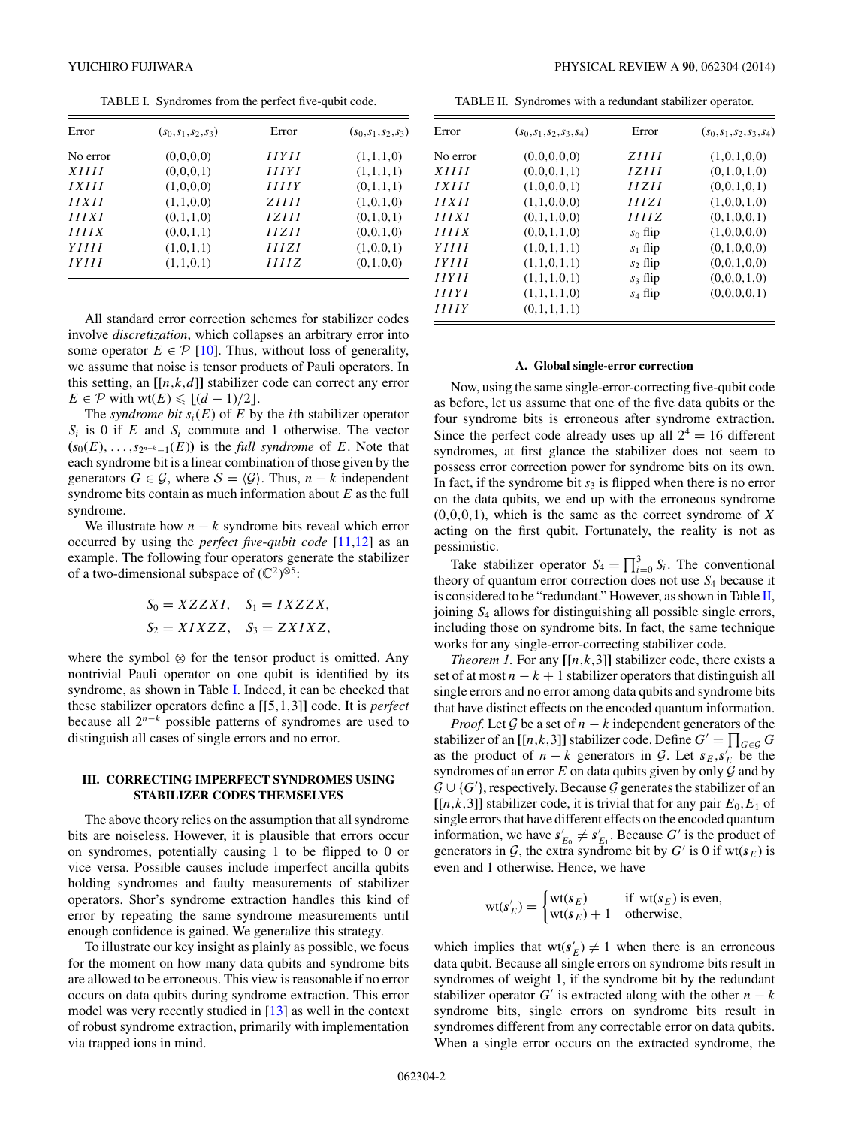TABLE I. Syndromes from the perfect five-qubit code.

<span id="page-1-0"></span>

| Error        | $(s_0,s_1,s_2,s_3)$ | Error              | $(s_0,s_1,s_2,s_3)$ |
|--------------|---------------------|--------------------|---------------------|
| No error     | (0,0,0,0)           | IIYII              | (1,1,1,0)           |
| <i>XIIII</i> | (0,0,0,1)           | <i>HIYI</i>        | (1,1,1,1)           |
| IXIII        | (1,0,0,0)           | <i><b>HIIY</b></i> | (0,1,1,1)           |
| IIXII        | (1,1,0,0)           | ZHH                | (1,0,1,0)           |
| IIIXI        | (0,1,1,0)           | 1 Z H              | (0,1,0,1)           |
| IIIIX        | (0,0,1,1)           | IIZII              | (0,0,1,0)           |
| YIIII        | (1,0,1,1)           | HIZI               | (1,0,0,1)           |
| IYIII        | (1,1,0,1)           | IIIIZ              | (0,1,0,0)           |

All standard error correction schemes for stabilizer codes involve *discretization*, which collapses an arbitrary error into some operator  $E \in \mathcal{P}$  [\[10\]](#page-7-0). Thus, without loss of generality, we assume that noise is tensor products of Pauli operators. In this setting, an  $[[n,k,d]]$  stabilizer code can correct any error  $E \in \mathcal{P}$  with wt $(E) \leq (d-1)/2$ .

The *syndrome bit*  $s_i(E)$  of  $E$  by the *i*th stabilizer operator  $S_i$  is 0 if *E* and  $S_i$  commute and 1 otherwise. The vector  $(s_0(E), \ldots, s_{2^{n-k}-1}(E))$  is the *full syndrome* of *E*. Note that each syndrome bit is a linear combination of those given by the generators  $G \in \mathcal{G}$ , where  $\mathcal{S} = \langle \mathcal{G} \rangle$ . Thus,  $n - k$  independent syndrome bits contain as much information about *E* as the full syndrome.

We illustrate how  $n - k$  syndrome bits reveal which error occurred by using the *perfect five*-*qubit code* [\[11,12\]](#page-7-0) as an example. The following four operators generate the stabilizer of a two-dimensional subspace of  $(\mathbb{C}^2)^{\otimes 5}$ :

$$
S_0 = XZZXI, \quad S_1 = IXZZX, S_2 = XIXZZ, \quad S_3 = ZXIXZ,
$$

where the symbol ⊗ for the tensor product is omitted. Any nontrivial Pauli operator on one qubit is identified by its syndrome, as shown in Table I. Indeed, it can be checked that these stabilizer operators define a **[**[5*,*1*,*3]**]** code. It is *perfect* because all 2*<sup>n</sup>*−*<sup>k</sup>* possible patterns of syndromes are used to distinguish all cases of single errors and no error.

## **III. CORRECTING IMPERFECT SYNDROMES USING STABILIZER CODES THEMSELVES**

The above theory relies on the assumption that all syndrome bits are noiseless. However, it is plausible that errors occur on syndromes, potentially causing 1 to be flipped to 0 or vice versa. Possible causes include imperfect ancilla qubits holding syndromes and faulty measurements of stabilizer operators. Shor's syndrome extraction handles this kind of error by repeating the same syndrome measurements until enough confidence is gained. We generalize this strategy.

To illustrate our key insight as plainly as possible, we focus for the moment on how many data qubits and syndrome bits are allowed to be erroneous. This view is reasonable if no error occurs on data qubits during syndrome extraction. This error model was very recently studied in [\[13\]](#page-7-0) as well in the context of robust syndrome extraction, primarily with implementation via trapped ions in mind.

TABLE II. Syndromes with a redundant stabilizer operator.

| Error    | $(s_0,s_1,s_2,s_3,s_4)$ | Error                                                                      | $(s_0,s_1,s_2,s_3,s_4)$ |
|----------|-------------------------|----------------------------------------------------------------------------|-------------------------|
| No error | (0,0,0,0,0)             | <i>ZHH</i>                                                                 | (1,0,1,0,0)             |
| XIII     | (0,0,0,1,1)             | IZIII                                                                      | (0,1,0,1,0)             |
| IXIII    | (1,0,0,0,1)             | $\overline{I}$ $\overline{I}$ $\overline{I}$ $\overline{I}$ $\overline{I}$ | (0,0,1,0,1)             |
| IIXII    | (1,1,0,0,0)             | <i>HIZI</i>                                                                | (1,0,0,1,0)             |
| IIIXI    | (0,1,1,0,0)             | IIIIZ                                                                      | (0,1,0,0,1)             |
| IIIIX    | (0,0,1,1,0)             | $s_0$ flip                                                                 | (1,0,0,0,0)             |
| YIIII    | (1,0,1,1,1)             | $s_1$ flip                                                                 | (0,1,0,0,0)             |
| IYIII    | (1,1,0,1,1)             | $s_2$ flip                                                                 | (0,0,1,0,0)             |
| IIYII    | (1,1,1,0,1)             | $s_3$ flip                                                                 | (0,0,0,1,0)             |
| IIIYI    | (1,1,1,1,0)             | $s_4$ flip                                                                 | (0,0,0,0,1)             |
| IIIIY    | (0,1,1,1,1)             |                                                                            |                         |

#### **A. Global single-error correction**

Now, using the same single-error-correcting five-qubit code as before, let us assume that one of the five data qubits or the four syndrome bits is erroneous after syndrome extraction. Since the perfect code already uses up all  $2^4 = 16$  different syndromes, at first glance the stabilizer does not seem to possess error correction power for syndrome bits on its own. In fact, if the syndrome bit  $s_3$  is flipped when there is no error on the data qubits, we end up with the erroneous syndrome (0*,*0*,*0*,*1), which is the same as the correct syndrome of *X* acting on the first qubit. Fortunately, the reality is not as pessimistic.

Take stabilizer operator  $S_4 = \prod_{i=0}^3 S_i$ . The conventional theory of quantum error correction does not use  $S_4$  because it is considered to be "redundant." However, as shown in Table II, joining *S*<sup>4</sup> allows for distinguishing all possible single errors, including those on syndrome bits. In fact, the same technique works for any single-error-correcting stabilizer code.

*Theorem 1.* For any  $[[n,k,3]]$  stabilizer code, there exists a set of at most  $n - k + 1$  stabilizer operators that distinguish all single errors and no error among data qubits and syndrome bits that have distinct effects on the encoded quantum information.

*Proof.* Let G be a set of  $n - k$  independent generators of the stabilizer of an [[*n,k,3*]] stabilizer code. Define  $G' = \prod_{G \in \mathcal{G}} G$ as the product of *n* − *k* generators in G. Let  $s_E$ , $s_E$  be the syndromes of an error  $E$  on data qubits given by only  $G$  and by  $\mathcal{G} \cup \{G\}$ , respectively. Because  $\mathcal{G}$  generates the stabilizer of an  $[[n,k,3]]$  stabilizer code, it is trivial that for any pair  $E_0, E_1$  of single errors that have different effects on the encoded quantum information, we have  $s'_{E_0} \neq s'_{E_1}$ . Because *G'* is the product of generators in  $G$ , the extra syndrome bit by  $G'$  is 0 if wt( $s_E$ ) is even and 1 otherwise. Hence, we have

$$
\text{wt}(s_E') = \begin{cases} \text{wt}(s_E) & \text{if } \text{wt}(s_E) \text{ is even,} \\ \text{wt}(s_E) + 1 & \text{otherwise,} \end{cases}
$$

which implies that  $wt(s'_{E}) \neq 1$  when there is an erroneous data qubit. Because all single errors on syndrome bits result in syndromes of weight 1, if the syndrome bit by the redundant stabilizer operator *G*<sup> $\prime$ </sup> is extracted along with the other *n* − *k* syndrome bits, single errors on syndrome bits result in syndromes different from any correctable error on data qubits. When a single error occurs on the extracted syndrome, the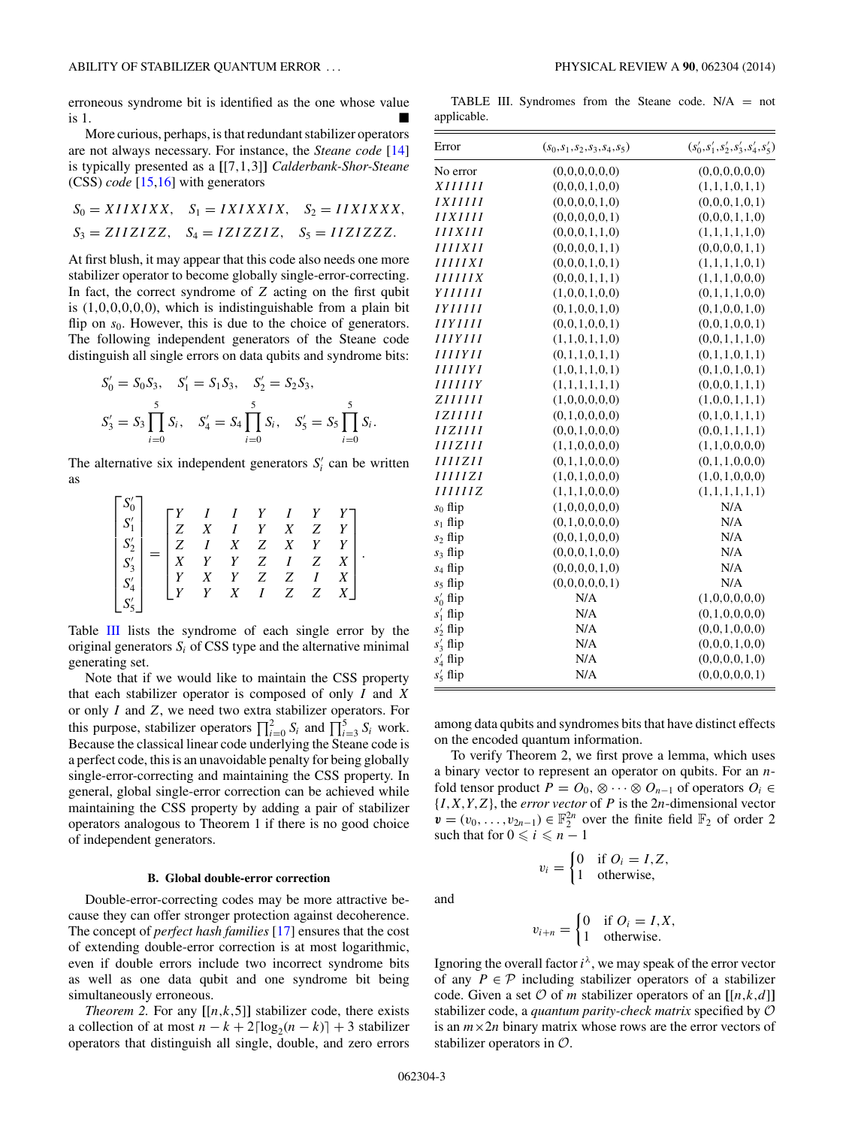<span id="page-2-0"></span>erroneous syndrome bit is identified as the one whose value is 1.

More curious, perhaps, is that redundant stabilizer operators are not always necessary. For instance, the *Steane code* [\[14\]](#page-7-0) is typically presented as a **[**[7*,*1*,*3]**]** *Calderbank-Shor-Steane* (CSS) *code* [\[15,16\]](#page-7-0) with generators

$$
S_0 = XIIXIXX
$$
,  $S_1 = IXIXXIX$ ,  $S_2 = IIXIXXX$ ,  
\n $S_3 = ZIIZIZZ$ ,  $S_4 = IZIZZIZ$ ,  $S_5 = IIZIZZZ$ .

At first blush, it may appear that this code also needs one more stabilizer operator to become globally single-error-correcting. In fact, the correct syndrome of *Z* acting on the first qubit is (1*,*0*,*0*,*0*,*0*,*0), which is indistinguishable from a plain bit flip on  $s_0$ . However, this is due to the choice of generators. The following independent generators of the Steane code distinguish all single errors on data qubits and syndrome bits:

$$
S'_0 = S_0 S_3, \quad S'_1 = S_1 S_3, \quad S'_2 = S_2 S_3,
$$
  

$$
S'_3 = S_3 \prod_{i=0}^5 S_i, \quad S'_4 = S_4 \prod_{i=0}^5 S_i, \quad S'_5 = S_5 \prod_{i=0}^5 S_i.
$$

The alternative six independent generators  $S_i'$  can be written as

| $\begin{bmatrix} S_0'\\ S_1'\\ S_2'\\ S_3'\\ S_4'\\ S_5' \end{bmatrix} = \begin{bmatrix} Y & I & I & Y & I & Y & Y\\ Z & X & I & Y & X & Z & Y\\ Z & I & X & Z & X & Y & Y\\ X & Y & Y & Z & I & Z & X\\ Y & X & Y & Z & Z & I & X\\ Y & Y & X & I & Z & Z & X \end{bmatrix}$ |  |  |  | $Y \mid$<br>$X$ . |  |
|-------------------------------------------------------------------------------------------------------------------------------------------------------------------------------------------------------------------------------------------------------------------------------|--|--|--|-------------------|--|
|                                                                                                                                                                                                                                                                               |  |  |  |                   |  |

Table III lists the syndrome of each single error by the original generators  $S_i$  of CSS type and the alternative minimal generating set.

Note that if we would like to maintain the CSS property that each stabilizer operator is composed of only *I* and *X* or only *I* and *Z*, we need two extra stabilizer operators. For this purpose, stabilizer operators  $\prod_{i=0}^{2} S_i$  and  $\prod_{i=3}^{5} S_i$  work. Because the classical linear code underlying the Steane code is a perfect code, this is an unavoidable penalty for being globally single-error-correcting and maintaining the CSS property. In general, global single-error correction can be achieved while maintaining the CSS property by adding a pair of stabilizer operators analogous to Theorem 1 if there is no good choice of independent generators.

#### **B. Global double-error correction**

Double-error-correcting codes may be more attractive because they can offer stronger protection against decoherence. The concept of *perfect hash families* [\[17\]](#page-7-0) ensures that the cost of extending double-error correction is at most logarithmic, even if double errors include two incorrect syndrome bits as well as one data qubit and one syndrome bit being simultaneously erroneous.

*Theorem 2.* For any  $[[n,k,5]]$  stabilizer code, there exists a collection of at most  $n - k + 2\lceil \log_2(n - k) \rceil + 3$  stabilizer operators that distinguish all single, double, and zero errors

TABLE III. Syndromes from the Steane code.  $N/A = not$ applicable.

| Error                 | $(s_0,s_1,s_2,s_3,s_4,s_5)$ | $(s'_0,s'_1,s'_2,s'_3,s'_4,s'_5)$ |
|-----------------------|-----------------------------|-----------------------------------|
| No error              | (0,0,0,0,0,0)               | (0,0,0,0,0,0)                     |
| <i>XIIIIII</i>        | (0,0,0,1,0,0)               | (1,1,1,0,1,1)                     |
| <i>IXIIIII</i>        | (0,0,0,0,1,0)               | (0,0,0,1,0,1)                     |
| <b>HXHH</b>           | (0,0,0,0,0,1)               | (0,0,0,1,1,0)                     |
| <b>IIIXIII</b>        | (0,0,0,1,1,0)               | (1,1,1,1,1,0)                     |
| <b>IIIIXII</b>        | (0,0,0,0,1,1)               | (0,0,0,0,1,1)                     |
| IIIIIXI               | (0,0,0,1,0,1)               | (1,1,1,1,0,1)                     |
| <b>IIIIIIX</b>        | (0,0,0,1,1,1)               | (1,1,1,0,0,0)                     |
| YIIIIII               | (1,0,0,1,0,0)               | (0,1,1,1,0,0)                     |
| IYIIIII               | (0, 1, 0, 0, 1, 0)          | (0,1,0,0,1,0)                     |
| IIYIIII               | (0,0,1,0,0,1)               | (0,0,1,0,0,1)                     |
| <i><b>HIYIII</b></i>  | (1,1,0,1,1,0)               | (0,0,1,1,1,0)                     |
| <i><b>HIIYII</b></i>  | (0,1,1,0,1,1)               | (0,1,1,0,1,1)                     |
| <i><b>IIIIIYI</b></i> | (1,0,1,1,0,1)               | (0,1,0,1,0,1)                     |
| <b>HIIIIY</b>         | (1,1,1,1,1,1)               | (0,0,0,1,1,1)                     |
| <i>ZIIIIII</i>        | (1,0,0,0,0,0)               | (1,0,0,1,1,1)                     |
| IZIIIII               | (0,1,0,0,0,0)               | (0,1,0,1,1,1)                     |
| IIZIIII               | (0,0,1,0,0,0)               | (0,0,1,1,1,1)                     |
| <b>IIIZIII</b>        | (1,1,0,0,0,0)               | (1,1,0,0,0,0)                     |
| IIIIZII               | (0,1,1,0,0,0)               | (0,1,1,0,0,0)                     |
| <b>IIIIIZI</b>        | (1,0,1,0,0,0)               | (1,0,1,0,0,0)                     |
| IIIIIIZ               | (1,1,1,0,0,0)               | (1,1,1,1,1,1)                     |
| $s_0$ flip            | (1,0,0,0,0,0)               | N/A                               |
| $s_1$ flip            | (0,1,0,0,0,0)               | N/A                               |
| $s_2$ flip            | (0,0,1,0,0,0)               | N/A                               |
| $s_3$ flip            | (0,0,0,1,0,0)               | N/A                               |
| $s_4$ flip            | (0,0,0,0,1,0)               | N/A                               |
| $s_5$ flip            | (0,0,0,0,0,1)               | N/A                               |
| $s_0'$ flip           | N/A                         | (1,0,0,0,0,0)                     |
| $s'_1$ flip           | N/A                         | (0,1,0,0,0,0)                     |
| $s'_2$ flip           | N/A                         | (0,0,1,0,0,0)                     |
| $s'_3$ flip           | N/A                         | (0,0,0,1,0,0)                     |
| $s_4$ flip            | N/A                         | (0,0,0,0,1,0)                     |
| $s'_5$ flip           | N/A                         | (0,0,0,0,0,1)                     |

among data qubits and syndromes bits that have distinct effects on the encoded quantum information.

To verify Theorem 2, we first prove a lemma, which uses a binary vector to represent an operator on qubits. For an *n*fold tensor product  $P = O_0$ ,  $\otimes \cdots \otimes O_{n-1}$  of operators  $O_i \in$  ${I, X, Y, Z}$ , the *error vector* of *P* is the 2*n*-dimensional vector  $\mathbf{v} = (v_0, \dots, v_{2n-1}) \in \mathbb{F}_2^{2n}$  over the finite field  $\mathbb{F}_2$  of order 2 such that for  $0 \leq i \leq n - 1$ 

$$
v_i = \begin{cases} 0 & \text{if } O_i = I, Z, \\ 1 & \text{otherwise,} \end{cases}
$$

$$
v_{i+n} = \begin{cases} 0 & \text{if } O_i = I, X, \\ 1 & \text{otherwise.} \end{cases}
$$

Ignoring the overall factor  $i^{\lambda}$ , we may speak of the error vector of any  $P \in \mathcal{P}$  including stabilizer operators of a stabilizer code. Given a set  $O$  of *m* stabilizer operators of an [[ $n, k, d$ ]] stabilizer code, a *quantum parity-check matrix* specified by O is an  $m \times 2n$  binary matrix whose rows are the error vectors of stabilizer operators in O.

and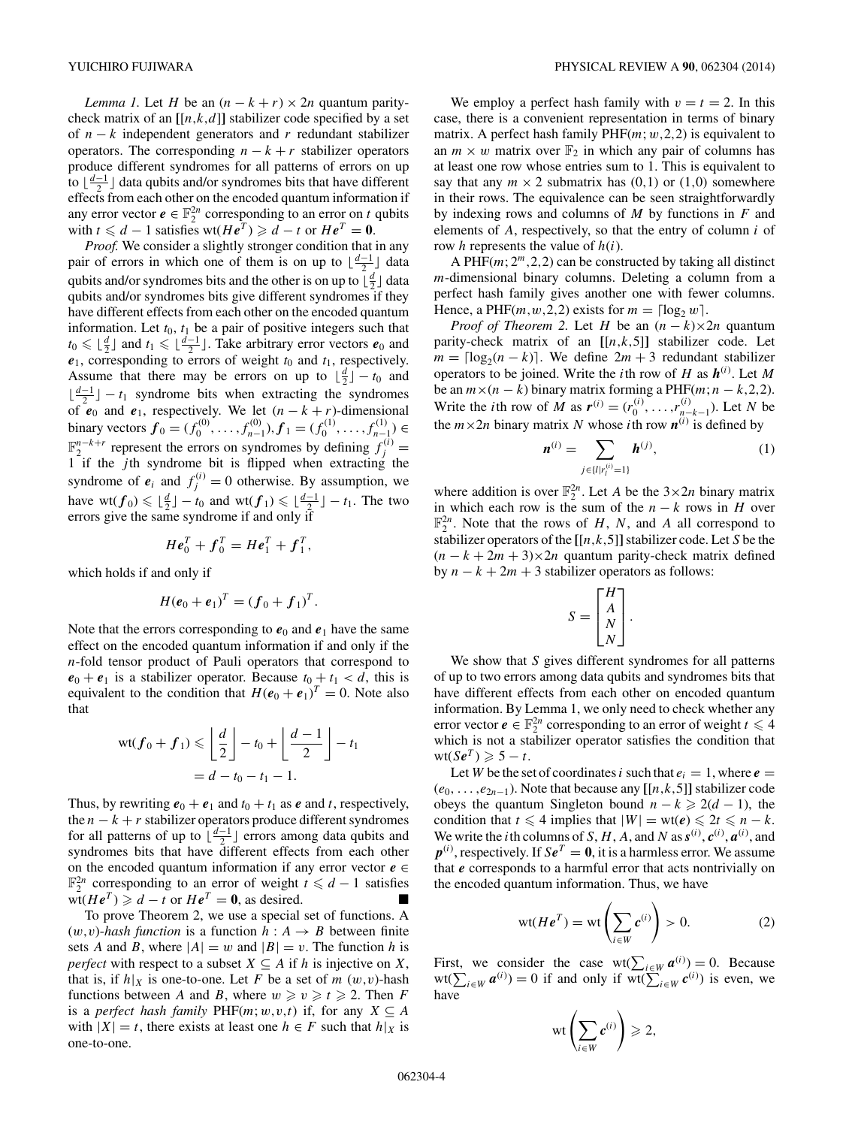<span id="page-3-0"></span>*Lemma 1.* Let *H* be an  $(n - k + r) \times 2n$  quantum paritycheck matrix of an  $[[n,k,d]]$  stabilizer code specified by a set of *n* − *k* independent generators and *r* redundant stabilizer operators. The corresponding  $n - k + r$  stabilizer operators produce different syndromes for all patterns of errors on up to *<u>d*<sup>-1</sup></u></sub> data qubits and/or syndromes bits that have different effects from each other on the encoded quantum information if any error vector  $e \in \mathbb{F}_2^{2n}$  corresponding to an error on *t* qubits with  $t \le d - 1$  satisfies wt $(He^T) \ge d - t$  or  $He^T = 0$ .

*Proof.* We consider a slightly stronger condition that in any pair of errors in which one of them is on up to  $\lfloor \frac{d-1}{2} \rfloor$  data qubits and/or syndromes bits and the other is on up to  $\lfloor \frac{d}{2} \rfloor$  data qubits and/or syndromes bits give different syndromes if they have different effects from each other on the encoded quantum information. Let  $t_0$ ,  $t_1$  be a pair of positive integers such that *t*<sub>0</sub> ≤  $\lfloor \frac{d}{2} \rfloor$  and *t*<sub>1</sub> ≤  $\lfloor \frac{d-1}{2} \rfloor$ . Take arbitrary error vectors *e*<sub>0</sub> and  $e_1$ , corresponding to errors of weight  $t_0$  and  $t_1$ , respectively. Assume that there may be errors on up to  $\lfloor \frac{d}{2} \rfloor - t_0$  and  $\lfloor \frac{d-1}{2} \rfloor - t_1$  syndrome bits when extracting the syndromes of  $\mathbf{e}_0$  and  $\mathbf{e}_1$ , respectively. We let  $(n - k + r)$ -dimensional binary vectors  $\mathbf{f}_0 = (f_0^{(0)}, \dots, f_{n-1}^{(0)}), \mathbf{f}_1 = (f_0^{(1)}, \dots, f_{n-1}^{(1)}) \in$  $\mathbb{F}_2^{n-k+r}$  represent the errors on syndromes by defining  $f_j^{(i)} =$ 1 if the *j* th syndrome bit is flipped when extracting the syndrome of  $e_i$  and  $f_j^{(i)} = 0$  otherwise. By assumption, we have  $wt(f_0) \leq \lfloor \frac{d}{2} \rfloor - t_0$  and  $wt(f_1) \leq \lfloor \frac{d-1}{2} \rfloor - t_1$ . The two errors give the same syndrome if and only if

$$
H\boldsymbol{e}_0^T + \boldsymbol{f}_0^T = H\boldsymbol{e}_1^T + \boldsymbol{f}_1^T,
$$

which holds if and only if

$$
H(e_0 + e_1)^T = (f_0 + f_1)^T.
$$

Note that the errors corresponding to  $e_0$  and  $e_1$  have the same effect on the encoded quantum information if and only if the *n*-fold tensor product of Pauli operators that correspond to  $e_0 + e_1$  is a stabilizer operator. Because  $t_0 + t_1 < d$ , this is equivalent to the condition that  $H(e_0 + e_1)^T = 0$ . Note also that

$$
\operatorname{wt}(f_0 + f_1) \leqslant \left\lfloor \frac{d}{2} \right\rfloor - t_0 + \left\lfloor \frac{d-1}{2} \right\rfloor - t_1
$$

$$
= d - t_0 - t_1 - 1.
$$

Thus, by rewriting  $e_0 + e_1$  and  $t_0 + t_1$  as  $e$  and  $t$ , respectively, the  $n - k + r$  stabilizer operators produce different syndromes for all patterns of up to  $\left[\frac{d-1}{2}\right]$  errors among data qubits and syndromes bits that have different effects from each other on the encoded quantum information if any error vector  $e \in$  $\mathbb{F}_2^{2n}$  corresponding to an error of weight  $t \le d - 1$  satisfies  $wt(He<sup>T</sup>)$   $\ge d - t$  or  $He<sup>T</sup> = 0$ , as desired. ■

To prove Theorem 2, we use a special set of functions. A  $(w, v)$ -*hash function* is a function  $h : A \rightarrow B$  between finite sets *A* and *B*, where  $|A| = w$  and  $|B| = v$ . The function *h* is *perfect* with respect to a subset  $X \subseteq A$  if *h* is injective on *X*, that is, if  $h|_X$  is one-to-one. Let F be a set of m  $(w, v)$ -hash functions between *A* and *B*, where  $w \ge v \ge t \ge 2$ . Then *F* is a *perfect hash family*  $PHF(m; w, v, t)$  if, for any  $X \subseteq A$ with  $|X| = t$ , there exists at least one  $h \in F$  such that  $h|_X$  is one-to-one.

We employ a perfect hash family with  $v = t = 2$ . In this case, there is a convenient representation in terms of binary matrix. A perfect hash family PHF(*m*; *w,*2*,*2) is equivalent to an  $m \times w$  matrix over  $\mathbb{F}_2$  in which any pair of columns has at least one row whose entries sum to 1. This is equivalent to say that any  $m \times 2$  submatrix has  $(0,1)$  or  $(1,0)$  somewhere in their rows. The equivalence can be seen straightforwardly by indexing rows and columns of *M* by functions in *F* and elements of *A*, respectively, so that the entry of column *i* of row *h* represents the value of *h*(*i*).

A PHF(*m*; 2*m,*2*,*2) can be constructed by taking all distinct *m*-dimensional binary columns. Deleting a column from a perfect hash family gives another one with fewer columns. Hence, a PHF( $m, w, 2, 2$ ) exists for  $m = \lceil \log_2 w \rceil$ .

*Proof of Theorem 2.* Let *H* be an  $(n - k) \times 2n$  quantum parity-check matrix of an  $[[n,k,5]]$  stabilizer code. Let  $m = \lfloor \log_2(n - k) \rfloor$ . We define  $2m + 3$  redundant stabilizer operators to be joined. Write the *i*th row of *H* as  $h^{(i)}$ . Let *M* be an  $m \times (n - k)$  binary matrix forming a PHF( $m; n - k, 2, 2$ ). Write the *i*th row of *M* as  $r^{(i)} = (r_0^{(i)}, \dots, r_{n-k-1}^{(i)})$ . Let *N* be the  $m \times 2n$  binary matrix *N* whose *i*th row  $n^{(i)}$  is defined by

$$
\mathbf{n}^{(i)} = \sum_{j \in \{l \mid r_i^{(i)} = 1\}} \mathbf{h}^{(j)},\tag{1}
$$

where addition is over  $\mathbb{F}_2^{2n}$ . Let *A* be the  $3 \times 2n$  binary matrix in which each row is the sum of the  $n - k$  rows in *H* over  $\mathbb{F}_2^{2n}$ . Note that the rows of *H*, *N*, and *A* all correspond to stabilizer operators of the **[**[*n,k,*5]**]**stabilizer code. Let *S* be the  $(n - k + 2m + 3) \times 2n$  quantum parity-check matrix defined by  $n - k + 2m + 3$  stabilizer operators as follows:

$$
S = \begin{bmatrix} H \\ A \\ N \\ N \end{bmatrix}.
$$

We show that *S* gives different syndromes for all patterns of up to two errors among data qubits and syndromes bits that have different effects from each other on encoded quantum information. By Lemma 1, we only need to check whether any error vector  $e \in \mathbb{F}_2^{2n}$  corresponding to an error of weight  $t \leq 4$ which is not a stabilizer operator satisfies the condition that  $wt(Se^T) \geqslant 5 - t$ .

Let *W* be the set of coordinates *i* such that  $e_i = 1$ , where  $e =$  $(e_0, \ldots, e_{2n-1})$ . Note that because any  $[[n,k,5]]$  stabilizer code obeys the quantum Singleton bound  $n - k \geq 2(d - 1)$ , the condition that  $t \leq 4$  implies that  $|W| = \text{wt}(e) \leq 2t \leq n - k$ . We write the *i*th columns of *S*, *H*, *A*, and *N* as  $s^{(i)}$ ,  $c^{(i)}$ ,  $a^{(i)}$ , and  $p^{(i)}$ , respectively. If  $Se^T = 0$ , it is a harmless error. We assume that *e* corresponds to a harmful error that acts nontrivially on the encoded quantum information. Thus, we have

$$
\text{wt}(H\boldsymbol{e}^T) = \text{wt}\left(\sum_{i\in W} \boldsymbol{c}^{(i)}\right) > 0. \tag{2}
$$

First, we consider the case wt( $\sum_{i \in W} a^{(i)} = 0$ . Because  $wt(\sum_{i \in W} a^{(i)}) = 0$  if and only if  $wt(\sum_{i \in W} c^{(i)})$  is even, we have

$$
\mathrm{wt}\left(\sum_{i\in W}c^{(i)}\right)\geqslant 2,
$$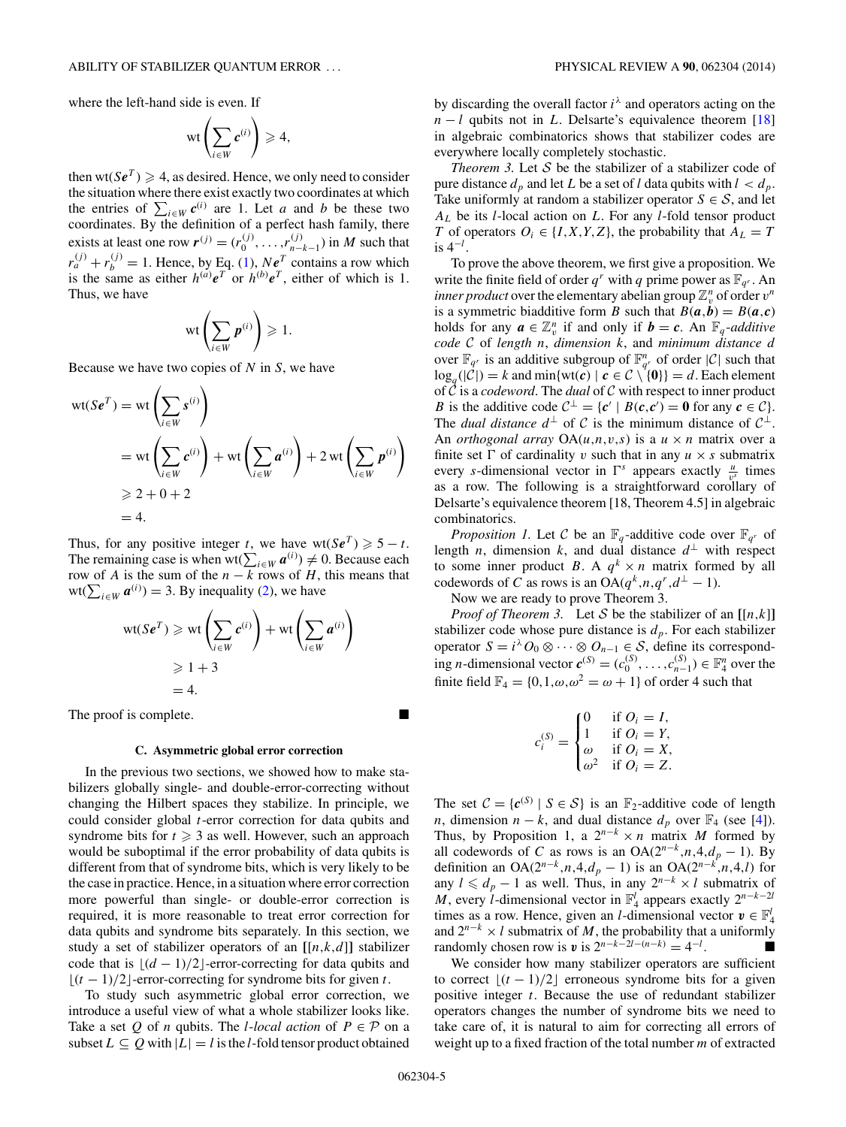where the left-hand side is even. If

$$
\text{wt}\left(\sum_{i\in W}c^{(i)}\right)\geqslant 4,
$$

then  $wt(Se^T) \geq 4$ , as desired. Hence, we only need to consider the situation where there exist exactly two coordinates at which the entries of  $\sum_{i \in W} c^{(i)}$  are 1. Let *a* and *b* be these two coordinates. By the definition of a perfect hash family, there exists at least one row  $r^{(j)} = (r_0^{(j)}, \dots, r_{n-k-1}^{(j)})$  in *M* such that  $r_a^{(j)} + r_b^{(j)} = 1$ . Hence, by Eq. [\(1\)](#page-3-0), *Ne<sup>T</sup>* contains a row which is the same as either  $h^{(a)}e^T$  or  $h^{(b)}e^T$ , either of which is 1. Thus, we have

$$
\text{wt}\left(\sum_{i\in W}p^{(i)}\right)\geqslant 1.
$$

Because we have two copies of *N* in *S*, we have

$$
wt(Se^{T}) = wt\left(\sum_{i \in W} s^{(i)}\right)
$$
  
= wt\left(\sum\_{i \in W} c^{(i)}\right) + wt\left(\sum\_{i \in W} a^{(i)}\right) + 2 wt\left(\sum\_{i \in W} p^{(i)}\right)  
\ge 2 + 0 + 2  
= 4.

Thus, for any positive integer *t*, we have  $wt(Se^T) \geq 5 - t$ . The remaining case is when wt( $\sum_{i \in W} a^{(i)} \neq 0$ . Because each row of *A* is the sum of the  $n - k$  rows of *H*, this means that  $wt(\sum_{i\in W} \boldsymbol{a}^{(i)}) = 3$ . By inequality [\(2\)](#page-3-0), we have

$$
\text{wt}(Se^T) \ge \text{wt}\left(\sum_{i \in W} e^{(i)}\right) + \text{wt}\left(\sum_{i \in W} a^{(i)}\right)
$$
  

$$
\ge 1 + 3
$$
  
= 4.

The proof is complete.

### **C. Asymmetric global error correction**

In the previous two sections, we showed how to make stabilizers globally single- and double-error-correcting without changing the Hilbert spaces they stabilize. In principle, we could consider global *t*-error correction for data qubits and syndrome bits for  $t \geq 3$  as well. However, such an approach would be suboptimal if the error probability of data qubits is different from that of syndrome bits, which is very likely to be the case in practice. Hence, in a situation where error correction more powerful than single- or double-error correction is required, it is more reasonable to treat error correction for data qubits and syndrome bits separately. In this section, we study a set of stabilizer operators of an  $[[n,k,d]]$  stabilizer code that is  $|(d - 1)/2|$ -error-correcting for data qubits and  $|(t-1)/2|$ -error-correcting for syndrome bits for given *t*.

To study such asymmetric global error correction, we introduce a useful view of what a whole stabilizer looks like. Take a set Q of *n* qubits. The *l*-*local action* of  $P \in \mathcal{P}$  on a subset  $L \subseteq Q$  with  $|L| = l$  is the *l*-fold tensor product obtained by discarding the overall factor  $i^{\lambda}$  and operators acting on the  $n - l$  qubits not in *L*. Delsarte's equivalence theorem [\[18\]](#page-7-0) in algebraic combinatorics shows that stabilizer codes are everywhere locally completely stochastic.

*Theorem 3.* Let  $S$  be the stabilizer of a stabilizer code of pure distance  $d_p$  and let *L* be a set of *l* data qubits with  $l < d_p$ . Take uniformly at random a stabilizer operator  $S \in \mathcal{S}$ , and let *AL* be its *l*-local action on *L*. For any *l*-fold tensor product *T* of operators  $O_i \in \{I, X, Y, Z\}$ , the probability that  $A_L = T$ is 4<sup>−</sup>*<sup>l</sup>* .

To prove the above theorem, we first give a proposition. We write the finite field of order  $q^r$  with  $q$  prime power as  $\mathbb{F}_{q^r}$ . An *inner product* over the elementary abelian group  $\mathbb{Z}_{v}^{n}$  of order  $v^{n}$ is a symmetric biadditive form *B* such that  $B(a,b) = B(a,c)$ holds for any  $\boldsymbol{a} \in \mathbb{Z}_v^n$  if and only if  $\boldsymbol{b} = \boldsymbol{c}$ . An  $\mathbb{F}_q$ -*additive code* C of *length n*, *dimension k*, and *minimum distance d* over  $\mathbb{F}_{q^r}$  is an additive subgroup of  $\mathbb{F}_{q^r}^n$  of order  $|C|$  such that  $log_q(|C|) = k$  and min{wt(*c*) |  $c \in C \setminus \{0\} = d$ . Each element of C is a *codeword*. The *dual* of C with respect to inner product *B* is the additive code  $C^{\perp} = \{c' \mid B(c, c') = 0 \text{ for any } c \in C\}.$ The *dual distance*  $d^{\perp}$  of C is the minimum distance of  $C^{\perp}$ . An *orthogonal array*  $OA(u, n, v, s)$  is a  $u \times n$  matrix over a finite set  $\Gamma$  of cardinality *v* such that in any  $u \times s$  submatrix every *s*-dimensional vector in  $\Gamma^s$  appears exactly  $\frac{u}{v^s}$  times as a row. The following is a straightforward corollary of Delsarte's equivalence theorem [18, Theorem 4.5] in algebraic combinatorics.

*Proposition 1.* Let C be an  $\mathbb{F}_q$ -additive code over  $\mathbb{F}_{q^r}$  of length *n*, dimension *k*, and dual distance  $d^{\perp}$  with respect to some inner product *B*. A  $q^k \times n$  matrix formed by all codewords of *C* as rows is an  $OA(q^k, n, q^r, d^{\perp} - 1)$ .

Now we are ready to prove Theorem 3.

*Proof of Theorem 3.* Let S be the stabilizer of an  $[[n,k]]$ stabilizer code whose pure distance is  $d_p$ . For each stabilizer operator  $S = i^{\lambda} O_0 \otimes \cdots \otimes O_{n-1} \in S$ , define its corresponding *n*-dimensional vector  $\mathbf{c}^{(S)} = (c_0^{(S)}, \dots, c_{n-1}^{(S)}) \in \mathbb{F}_4^n$  over the finite field  $\mathbb{F}_4 = \{0, 1, \omega, \omega^2 = \omega + 1\}$  of order 4 such that

$$
c_i^{(S)} = \begin{cases} 0 & \text{if } O_i = I, \\ 1 & \text{if } O_i = Y, \\ \omega & \text{if } O_i = X, \\ \omega^2 & \text{if } O_i = Z. \end{cases}
$$

The set  $C = \{c^{(S)} | S \in S\}$  is an  $\mathbb{F}_2$ -additive code of length *n*, dimension  $n - k$ , and dual distance  $d_p$  over  $\mathbb{F}_4$  (see [\[4\]](#page-7-0)). Thus, by Proposition 1, a  $2^{n-k} \times n$  matrix *M* formed by all codewords of *C* as rows is an OA( $2^{n-k}$ ,*n*,4, $d_p$  − 1). By definition an OA( $2^{n-k}, n, 4, d_p - 1$ ) is an OA( $2^{n-k}, n, 4, l$ ) for any  $l \leq d_p - 1$  as well. Thus, in any  $2^{n-k} \times l$  submatrix of *M*, every *l*-dimensional vector in  $\mathbb{F}_4^l$  appears exactly  $2^{n-k-2l}$ times as a row. Hence, given an *l*-dimensional vector  $\mathbf{v} \in \mathbb{F}_4^l$ and  $2^{n-k} \times l$  submatrix of *M*, the probability that a uniformly randomly chosen row is  $v$  is  $2^{n-k-2l-(n-k)} = 4^{-l}$ . .

We consider how many stabilizer operators are sufficient to correct  $[(t - 1)/2]$  erroneous syndrome bits for a given positive integer *t*. Because the use of redundant stabilizer operators changes the number of syndrome bits we need to take care of, it is natural to aim for correcting all errors of weight up to a fixed fraction of the total number *m* of extracted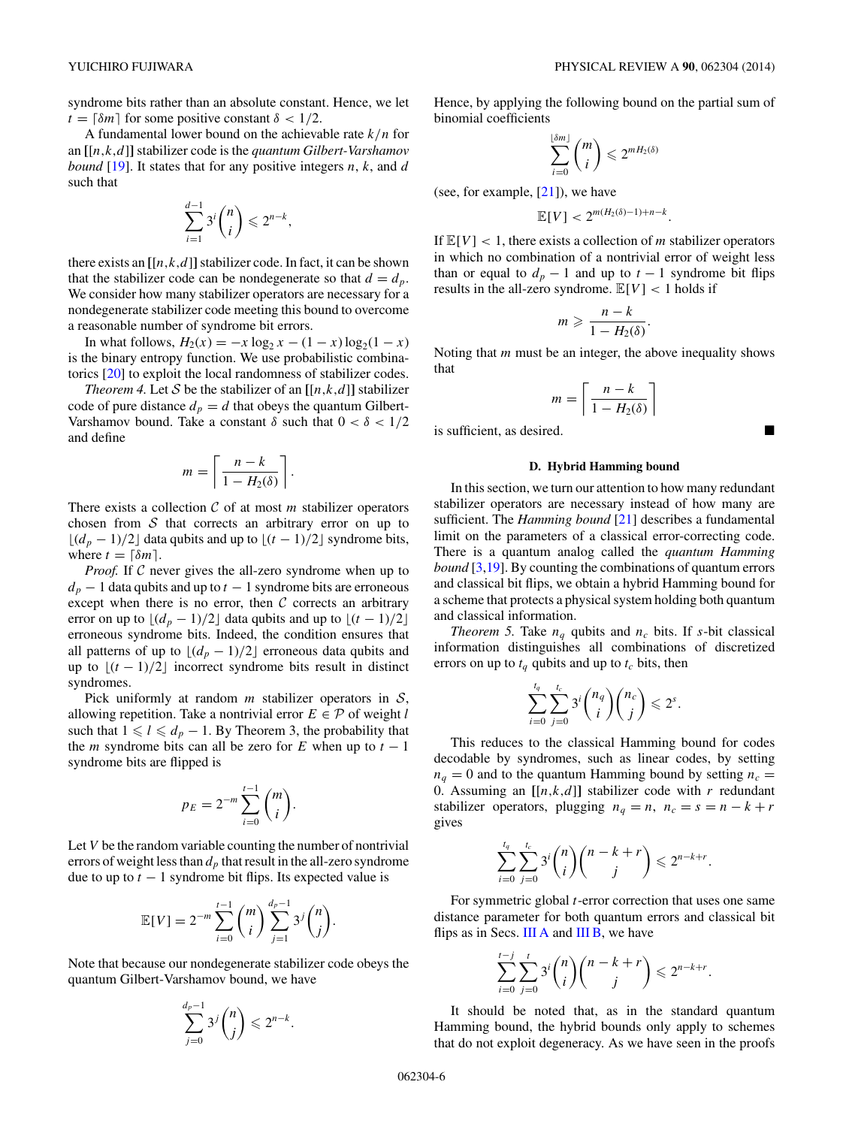syndrome bits rather than an absolute constant. Hence, we let  $t = \lceil \delta m \rceil$  for some positive constant  $\delta < 1/2$ .

A fundamental lower bound on the achievable rate *k/n* for an **[**[*n,k,d*]**]** stabilizer code is the *quantum Gilbert-Varshamov bound* [\[19\]](#page-7-0). It states that for any positive integers *n*, *k*, and *d* such that

$$
\sum_{i=1}^{d-1} 3^i \binom{n}{i} \leq 2^{n-k},
$$

there exists an  $[[n,k,d]]$  stabilizer code. In fact, it can be shown that the stabilizer code can be nondegenerate so that  $d = d_p$ . We consider how many stabilizer operators are necessary for a nondegenerate stabilizer code meeting this bound to overcome a reasonable number of syndrome bit errors.

In what follows,  $H_2(x) = -x \log_2 x - (1 - x) \log_2(1 - x)$ is the binary entropy function. We use probabilistic combinatorics [\[20\]](#page-7-0) to exploit the local randomness of stabilizer codes.

*Theorem 4.* Let S be the stabilizer of an  $[[n,k,d]]$  stabilizer code of pure distance  $d_p = d$  that obeys the quantum Gilbert-Varshamov bound. Take a constant  $\delta$  such that  $0 < \delta < 1/2$ and define

$$
m = \left\lceil \frac{n - k}{1 - H_2(\delta)} \right\rceil
$$

*.*

There exists a collection  $C$  of at most  $m$  stabilizer operators chosen from  $S$  that corrects an arbitrary error on up to  $\lfloor (d_p - 1)/2 \rfloor$  data qubits and up to  $\lfloor (t - 1)/2 \rfloor$  syndrome bits, where  $t = \lceil \delta m \rceil$ .

*Proof.* If C never gives the all-zero syndrome when up to  $d_p - 1$  data qubits and up to  $t - 1$  syndrome bits are erroneous except when there is no error, then  $C$  corrects an arbitrary error on up to  $\lfloor (d_p - 1)/2 \rfloor$  data qubits and up to  $\lfloor (t - 1)/2 \rfloor$ erroneous syndrome bits. Indeed, the condition ensures that all patterns of up to  $\lfloor (d_p - 1)/2 \rfloor$  erroneous data qubits and up to  $\lfloor (t-1)/2 \rfloor$  incorrect syndrome bits result in distinct syndromes.

Pick uniformly at random *m* stabilizer operators in S, allowing repetition. Take a nontrivial error  $E \in \mathcal{P}$  of weight *l* such that  $1 \leq l \leq d_p - 1$ . By Theorem 3, the probability that the *m* syndrome bits can all be zero for *E* when up to  $t - 1$ syndrome bits are flipped is

$$
p_E = 2^{-m} \sum_{i=0}^{t-1} \binom{m}{i}.
$$

Let *V* be the random variable counting the number of nontrivial errors of weight less than  $d<sub>p</sub>$  that result in the all-zero syndrome due to up to  $t - 1$  syndrome bit flips. Its expected value is

$$
\mathbb{E}[V] = 2^{-m} \sum_{i=0}^{t-1} {m \choose i} \sum_{j=1}^{d_p-1} 3^j {n \choose j}.
$$

Note that because our nondegenerate stabilizer code obeys the quantum Gilbert-Varshamov bound, we have

$$
\sum_{j=0}^{d_p-1} 3^j \binom{n}{j} \leqslant 2^{n-k}
$$

*.*

Hence, by applying the following bound on the partial sum of binomial coefficients

$$
\sum_{i=0}^{\lfloor \delta m \rfloor} \binom{m}{i} \leqslant 2^{m H_2(\delta)}
$$

(see, for example, [\[21\]](#page-7-0)), we have

$$
\mathbb{E}[V] < 2^{m(H_2(\delta)-1)+n-k}.
$$

If  $\mathbb{E}[V] < 1$ , there exists a collection of *m* stabilizer operators in which no combination of a nontrivial error of weight less than or equal to  $d_p - 1$  and up to  $t - 1$  syndrome bit flips results in the all-zero syndrome.  $\mathbb{E}[V] < 1$  holds if

$$
m \geqslant \frac{n-k}{1-H_2(\delta)}.
$$

Noting that *m* must be an integer, the above inequality shows that

$$
m = \left\lceil \frac{n - k}{1 - H_2(\delta)} \right\rceil
$$

is sufficient, as desired.

### **D. Hybrid Hamming bound**

In this section, we turn our attention to how many redundant stabilizer operators are necessary instead of how many are sufficient. The *Hamming bound* [\[21\]](#page-7-0) describes a fundamental limit on the parameters of a classical error-correcting code. There is a quantum analog called the *quantum Hamming bound* [\[3,19\]](#page-7-0). By counting the combinations of quantum errors and classical bit flips, we obtain a hybrid Hamming bound for a scheme that protects a physical system holding both quantum and classical information.

*Theorem 5.* Take  $n_q$  qubits and  $n_c$  bits. If *s*-bit classical information distinguishes all combinations of discretized errors on up to  $t_q$  qubits and up to  $t_c$  bits, then

$$
\sum_{i=0}^{t_q} \sum_{j=0}^{t_c} 3^i \binom{n_q}{i} \binom{n_c}{j} \leq 2^s.
$$

This reduces to the classical Hamming bound for codes decodable by syndromes, such as linear codes, by setting  $n_q = 0$  and to the quantum Hamming bound by setting  $n_c =$ 0. Assuming an  $[[n,k,d]]$  stabilizer code with *r* redundant stabilizer operators, plugging  $n_q = n$ ,  $n_c = s = n - k + r$ gives

$$
\sum_{i=0}^{t_q} \sum_{j=0}^{t_c} 3^i \binom{n}{i} \binom{n-k+r}{j} \leq 2^{n-k+r}.
$$

For symmetric global *t*-error correction that uses one same distance parameter for both quantum errors and classical bit flips as in Secs. [III A](#page-1-0) and [III B,](#page-2-0) we have

$$
\sum_{i=0}^{t-j} \sum_{j=0}^t 3^i \binom{n}{i} \binom{n-k+r}{j} \leq 2^{n-k+r}.
$$

It should be noted that, as in the standard quantum Hamming bound, the hybrid bounds only apply to schemes that do not exploit degeneracy. As we have seen in the proofs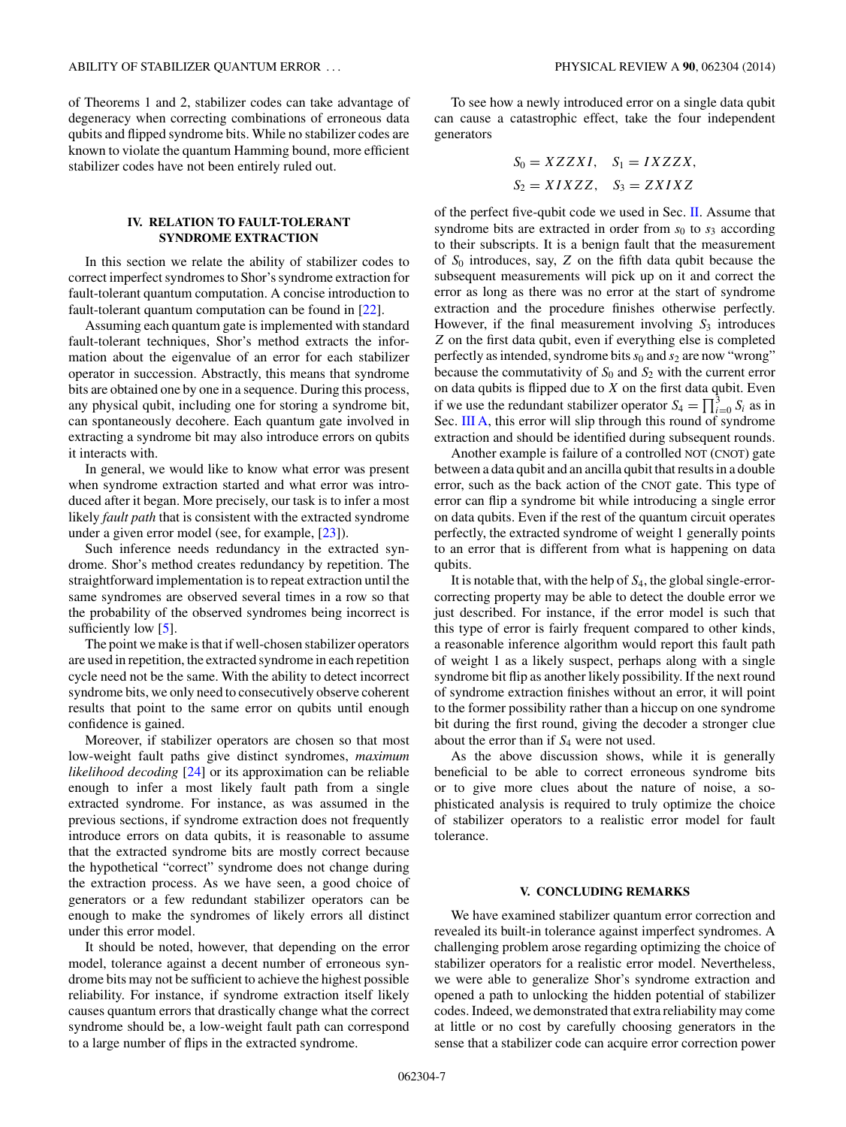<span id="page-6-0"></span>of Theorems 1 and 2, stabilizer codes can take advantage of degeneracy when correcting combinations of erroneous data qubits and flipped syndrome bits. While no stabilizer codes are known to violate the quantum Hamming bound, more efficient stabilizer codes have not been entirely ruled out.

### **IV. RELATION TO FAULT-TOLERANT SYNDROME EXTRACTION**

In this section we relate the ability of stabilizer codes to correct imperfect syndromes to Shor's syndrome extraction for fault-tolerant quantum computation. A concise introduction to fault-tolerant quantum computation can be found in [\[22\]](#page-7-0).

Assuming each quantum gate is implemented with standard fault-tolerant techniques, Shor's method extracts the information about the eigenvalue of an error for each stabilizer operator in succession. Abstractly, this means that syndrome bits are obtained one by one in a sequence. During this process, any physical qubit, including one for storing a syndrome bit, can spontaneously decohere. Each quantum gate involved in extracting a syndrome bit may also introduce errors on qubits it interacts with.

In general, we would like to know what error was present when syndrome extraction started and what error was introduced after it began. More precisely, our task is to infer a most likely *fault path* that is consistent with the extracted syndrome under a given error model (see, for example, [\[23\]](#page-7-0)).

Such inference needs redundancy in the extracted syndrome. Shor's method creates redundancy by repetition. The straightforward implementation is to repeat extraction until the same syndromes are observed several times in a row so that the probability of the observed syndromes being incorrect is sufficiently low [\[5\]](#page-7-0).

The point we make is that if well-chosen stabilizer operators are used in repetition, the extracted syndrome in each repetition cycle need not be the same. With the ability to detect incorrect syndrome bits, we only need to consecutively observe coherent results that point to the same error on qubits until enough confidence is gained.

Moreover, if stabilizer operators are chosen so that most low-weight fault paths give distinct syndromes, *maximum likelihood decoding* [\[24\]](#page-7-0) or its approximation can be reliable enough to infer a most likely fault path from a single extracted syndrome. For instance, as was assumed in the previous sections, if syndrome extraction does not frequently introduce errors on data qubits, it is reasonable to assume that the extracted syndrome bits are mostly correct because the hypothetical "correct" syndrome does not change during the extraction process. As we have seen, a good choice of generators or a few redundant stabilizer operators can be enough to make the syndromes of likely errors all distinct under this error model.

It should be noted, however, that depending on the error model, tolerance against a decent number of erroneous syndrome bits may not be sufficient to achieve the highest possible reliability. For instance, if syndrome extraction itself likely causes quantum errors that drastically change what the correct syndrome should be, a low-weight fault path can correspond to a large number of flips in the extracted syndrome.

To see how a newly introduced error on a single data qubit can cause a catastrophic effect, take the four independent generators

$$
S_0 = XZZXI, \quad S_1 = IXZZX, S_2 = XIXZZ, \quad S_3 = ZXIXZ
$$

of the perfect five-qubit code we used in Sec. [II.](#page-0-0) Assume that syndrome bits are extracted in order from  $s_0$  to  $s_3$  according to their subscripts. It is a benign fault that the measurement of *S*<sup>0</sup> introduces, say, *Z* on the fifth data qubit because the subsequent measurements will pick up on it and correct the error as long as there was no error at the start of syndrome extraction and the procedure finishes otherwise perfectly. However, if the final measurement involving  $S_3$  introduces *Z* on the first data qubit, even if everything else is completed perfectly as intended, syndrome bits  $s_0$  and  $s_2$  are now "wrong" because the commutativity of  $S_0$  and  $S_2$  with the current error on data qubits is flipped due to *X* on the first data qubit. Even if we use the redundant stabilizer operator  $S_4 = \prod_{i=0}^3 S_i$  as in Sec. [III A,](#page-1-0) this error will slip through this round of syndrome extraction and should be identified during subsequent rounds.

Another example is failure of a controlled NOT (CNOT) gate between a data qubit and an ancilla qubit that results in a double error, such as the back action of the CNOT gate. This type of error can flip a syndrome bit while introducing a single error on data qubits. Even if the rest of the quantum circuit operates perfectly, the extracted syndrome of weight 1 generally points to an error that is different from what is happening on data qubits.

It is notable that, with the help of *S*4, the global single-errorcorrecting property may be able to detect the double error we just described. For instance, if the error model is such that this type of error is fairly frequent compared to other kinds, a reasonable inference algorithm would report this fault path of weight 1 as a likely suspect, perhaps along with a single syndrome bit flip as another likely possibility. If the next round of syndrome extraction finishes without an error, it will point to the former possibility rather than a hiccup on one syndrome bit during the first round, giving the decoder a stronger clue about the error than if *S*<sup>4</sup> were not used.

As the above discussion shows, while it is generally beneficial to be able to correct erroneous syndrome bits or to give more clues about the nature of noise, a sophisticated analysis is required to truly optimize the choice of stabilizer operators to a realistic error model for fault tolerance.

#### **V. CONCLUDING REMARKS**

We have examined stabilizer quantum error correction and revealed its built-in tolerance against imperfect syndromes. A challenging problem arose regarding optimizing the choice of stabilizer operators for a realistic error model. Nevertheless, we were able to generalize Shor's syndrome extraction and opened a path to unlocking the hidden potential of stabilizer codes. Indeed, we demonstrated that extra reliability may come at little or no cost by carefully choosing generators in the sense that a stabilizer code can acquire error correction power